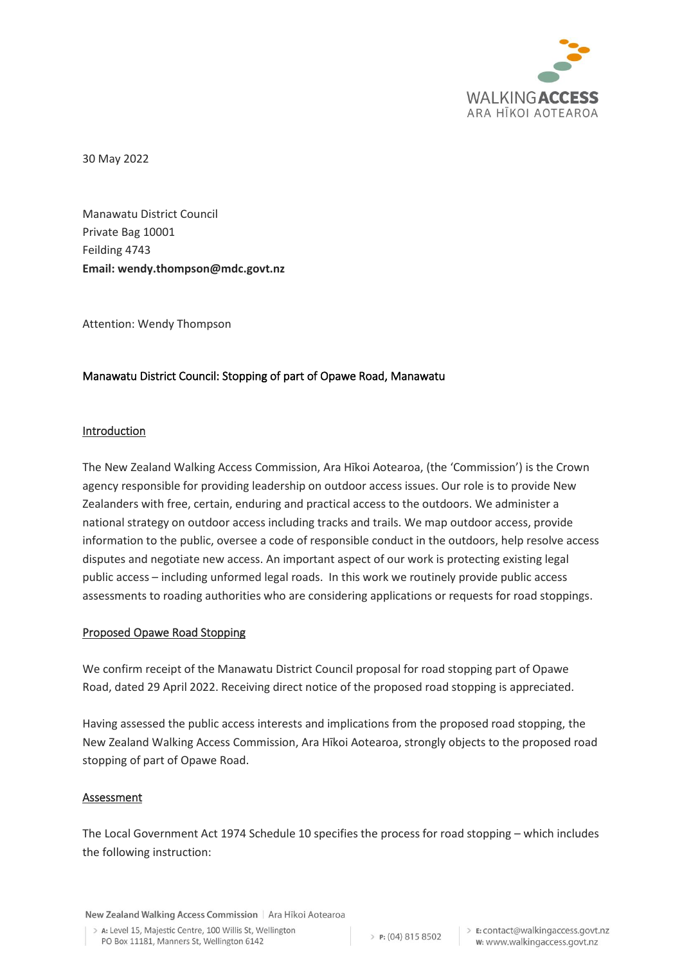

30 May 2022

Manawatu District Council Private Bag 10001 Feilding 4743 **Email: wendy.thompson@mdc.govt.nz**

Attention: Wendy Thompson

# Manawatu District Council: Stopping of part of Opawe Road, Manawatu

# Introduction

The New Zealand Walking Access Commission, Ara Hīkoi Aotearoa, (the 'Commission') is the Crown agency responsible for providing leadership on outdoor access issues. Our role is to provide New Zealanders with free, certain, enduring and practical access to the outdoors. We administer a national strategy on outdoor access including tracks and trails. We map outdoor access, provide information to the public, oversee a code of responsible conduct in the outdoors, help resolve access disputes and negotiate new access. An important aspect of our work is protecting existing legal public access – including unformed legal roads. In this work we routinely provide public access assessments to roading authorities who are considering applications or requests for road stoppings.

### Proposed Opawe Road Stopping

We confirm receipt of the Manawatu District Council proposal for road stopping part of Opawe Road, dated 29 April 2022. Receiving direct notice of the proposed road stopping is appreciated.

Having assessed the public access interests and implications from the proposed road stopping, the New Zealand Walking Access Commission, Ara Hīkoi Aotearoa, strongly objects to the proposed road stopping of part of Opawe Road.

### Assessment

The Local Government Act 1974 Schedule 10 specifies the process for road stopping – which includes the following instruction:

New Zealand Walking Access Commission | Ara Hīkoi Aotearoa

> A: Level 15. Majestic Centre, 100 Willis St. Wellington PO Box 11181, Manners St, Wellington 6142

 $\geq$  P: (04) 815 8502

> E: contact@walkingaccess.govt.nz w: www.walkingaccess.govt.nz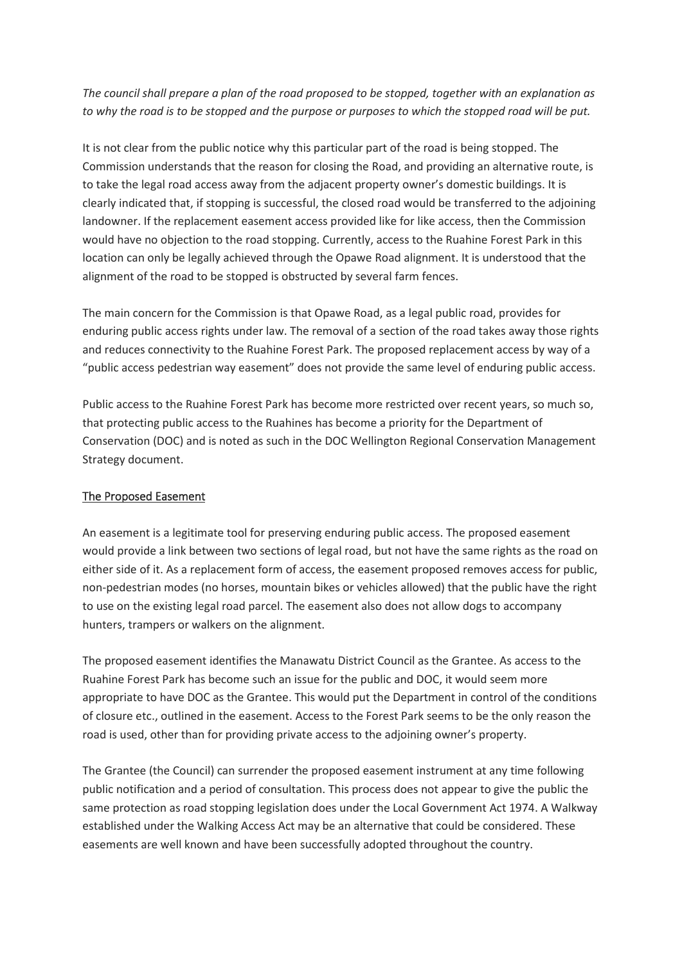*The council shall prepare a plan of the road proposed to be stopped, together with an explanation as to why the road is to be stopped and the purpose or purposes to which the stopped road will be put.*

It is not clear from the public notice why this particular part of the road is being stopped. The Commission understands that the reason for closing the Road, and providing an alternative route, is to take the legal road access away from the adjacent property owner's domestic buildings. It is clearly indicated that, if stopping is successful, the closed road would be transferred to the adjoining landowner. If the replacement easement access provided like for like access, then the Commission would have no objection to the road stopping. Currently, access to the Ruahine Forest Park in this location can only be legally achieved through the Opawe Road alignment. It is understood that the alignment of the road to be stopped is obstructed by several farm fences.

The main concern for the Commission is that Opawe Road, as a legal public road, provides for enduring public access rights under law. The removal of a section of the road takes away those rights and reduces connectivity to the Ruahine Forest Park. The proposed replacement access by way of a "public access pedestrian way easement" does not provide the same level of enduring public access.

Public access to the Ruahine Forest Park has become more restricted over recent years, so much so, that protecting public access to the Ruahines has become a priority for the Department of Conservation (DOC) and is noted as such in the DOC Wellington Regional Conservation Management Strategy document.

### The Proposed Easement

An easement is a legitimate tool for preserving enduring public access. The proposed easement would provide a link between two sections of legal road, but not have the same rights as the road on either side of it. As a replacement form of access, the easement proposed removes access for public, non-pedestrian modes (no horses, mountain bikes or vehicles allowed) that the public have the right to use on the existing legal road parcel. The easement also does not allow dogs to accompany hunters, trampers or walkers on the alignment.

The proposed easement identifies the Manawatu District Council as the Grantee. As access to the Ruahine Forest Park has become such an issue for the public and DOC, it would seem more appropriate to have DOC as the Grantee. This would put the Department in control of the conditions of closure etc., outlined in the easement. Access to the Forest Park seems to be the only reason the road is used, other than for providing private access to the adjoining owner's property.

The Grantee (the Council) can surrender the proposed easement instrument at any time following public notification and a period of consultation. This process does not appear to give the public the same protection as road stopping legislation does under the Local Government Act 1974. A Walkway established under the Walking Access Act may be an alternative that could be considered. These easements are well known and have been successfully adopted throughout the country.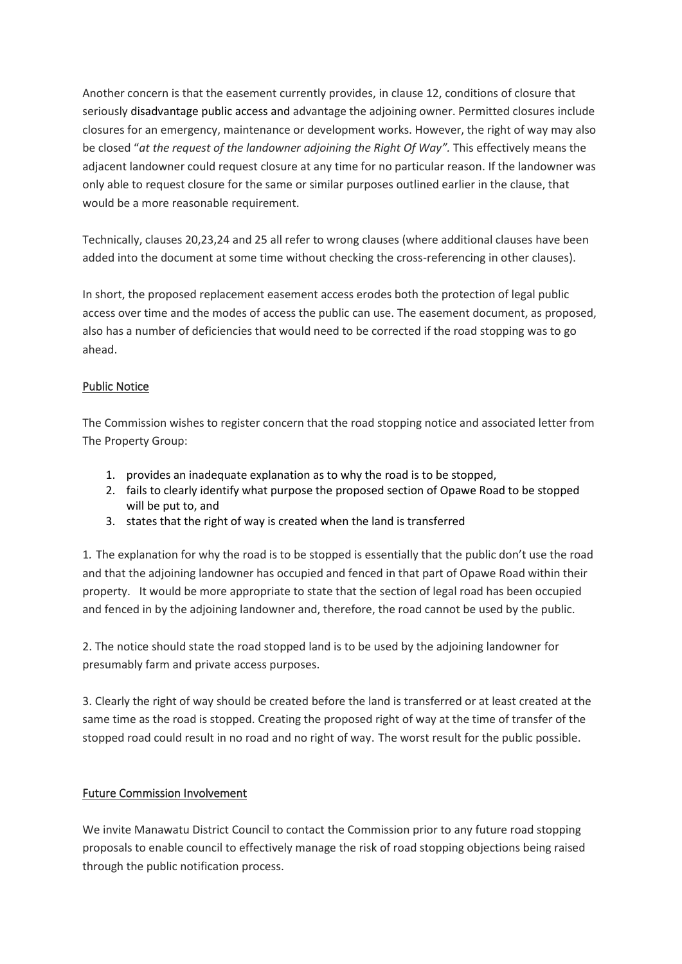Another concern is that the easement currently provides, in clause 12, conditions of closure that seriously disadvantage public access and advantage the adjoining owner. Permitted closures include closures for an emergency, maintenance or development works. However, the right of way may also be closed "*at the request of the landowner adjoining the Right Of Way".* This effectively means the adjacent landowner could request closure at any time for no particular reason. If the landowner was only able to request closure for the same or similar purposes outlined earlier in the clause, that would be a more reasonable requirement.

Technically, clauses 20,23,24 and 25 all refer to wrong clauses (where additional clauses have been added into the document at some time without checking the cross-referencing in other clauses).

In short, the proposed replacement easement access erodes both the protection of legal public access over time and the modes of access the public can use. The easement document, as proposed, also has a number of deficiencies that would need to be corrected if the road stopping was to go ahead.

# Public Notice

The Commission wishes to register concern that the road stopping notice and associated letter from The Property Group:

- 1. provides an inadequate explanation as to why the road is to be stopped,
- 2. fails to clearly identify what purpose the proposed section of Opawe Road to be stopped will be put to, and
- 3. states that the right of way is created when the land is transferred

1*.* The explanation for why the road is to be stopped is essentially that the public don't use the road and that the adjoining landowner has occupied and fenced in that part of Opawe Road within their property. It would be more appropriate to state that the section of legal road has been occupied and fenced in by the adjoining landowner and, therefore, the road cannot be used by the public.

2. The notice should state the road stopped land is to be used by the adjoining landowner for presumably farm and private access purposes.

3. Clearly the right of way should be created before the land is transferred or at least created at the same time as the road is stopped. Creating the proposed right of way at the time of transfer of the stopped road could result in no road and no right of way. The worst result for the public possible.

### Future Commission Involvement

We invite Manawatu District Council to contact the Commission prior to any future road stopping proposals to enable council to effectively manage the risk of road stopping objections being raised through the public notification process.